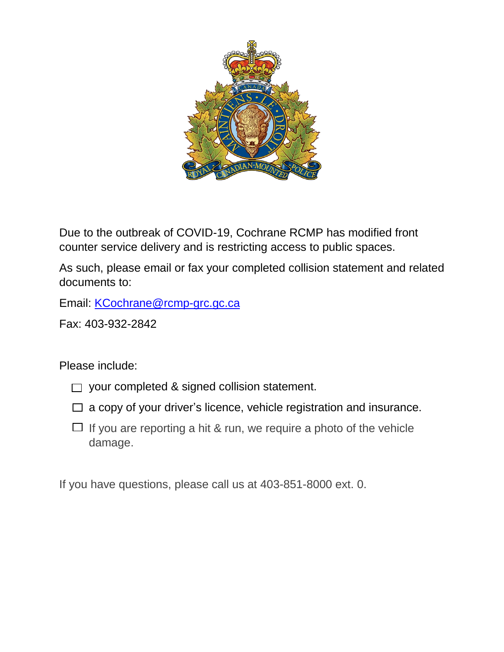

Due to the outbreak of COVID-19, Cochrane RCMP has modified front counter service delivery and is restricting access to public spaces.

As such, please email or fax your completed collision statement and related documents to:

Email: [KCochrane@rcmp-grc.gc.ca](mailto:KCochrane@rcmp-grc.gc.ca)

Fax: 403-932-2842

Please include:

- $\Box$  your completed & signed collision statement.
- $\Box$  a copy of your driver's licence, vehicle registration and insurance.
- $\Box$  If you are reporting a hit & run, we require a photo of the vehicle damage.

If you have questions, please call us at 403-851-8000 ext. 0.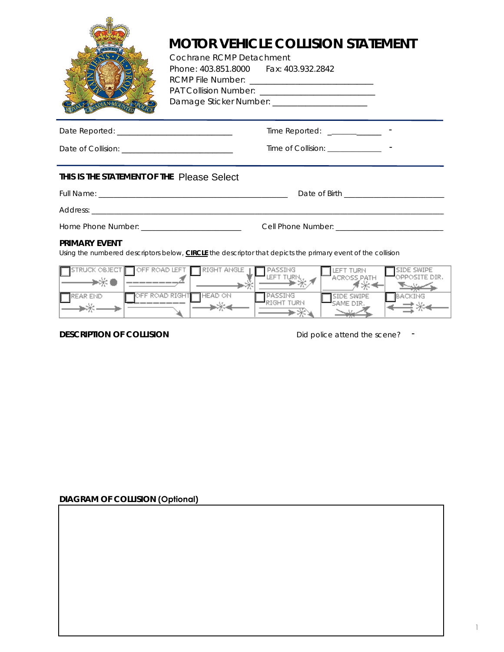

# **MOTOR VEHICLE COLLISION STATEMENT**

 Cochrane RCMP Detachment Phone: 403.851.8000 Fax: 403.932.2842 RCMP File Number: \_\_\_\_\_\_\_\_\_\_\_\_\_\_\_\_\_\_\_\_\_\_\_\_\_\_\_\_\_\_ PAT Collision Number: \_\_\_\_\_\_\_\_\_\_\_\_\_\_\_\_\_\_\_\_\_\_\_\_\_\_\_\_ Damage Sticker Number: \_\_\_\_\_\_\_\_\_\_\_\_\_\_\_\_\_\_\_\_\_\_\_\_

| Date Reported:     | Time Reported:     | -                        |
|--------------------|--------------------|--------------------------|
| Date of Collision: | Time of Collision: | $\overline{\phantom{0}}$ |

## **THIS IS THE STATEMENT OF THE Please Select**

#### **PRIMARY EVENT**

|                                                                                                                                            | $Time$ Reported: _____________      |                                                                          |
|--------------------------------------------------------------------------------------------------------------------------------------------|-------------------------------------|--------------------------------------------------------------------------|
|                                                                                                                                            |                                     |                                                                          |
| THIS IS THE STATEMENT OF THE Please Select                                                                                                 |                                     |                                                                          |
|                                                                                                                                            |                                     |                                                                          |
|                                                                                                                                            |                                     |                                                                          |
|                                                                                                                                            |                                     |                                                                          |
| <b>PRIMARY EVENT</b><br>Using the numbered descriptors below, <b>CIRCLE</b> the descriptor that depicts the primary event of the collision |                                     |                                                                          |
| $\Box$ STRUCK OBJECT $\Box$ OFF ROAD LEFT $\Box$ RIGHT ANGLE $\Box$ PASSING                                                                | $\rightarrow$ LEFT TURN             | SIDE SWIPE<br>LEFT TURN<br>OPPOSITE DIR.<br><b>ACROSS PATH</b><br>كسنندي |
| EREAR END OFF ROAD RIGHT HEAD ON                                                                                                           | PASSING<br>$-$ RIGHT TURN<br>—— → * | BACKING<br>SIDE SWIPE<br>SAME DIR.                                       |
| <b>DESCRIPTION OF COLLISION</b>                                                                                                            |                                     | Did police attend the scene? $\blacksquare$                              |

**DESCRIPTION OF COLLISION** Did police attend the scene?

### **DIAGRAM OF COLLISION (Optional)**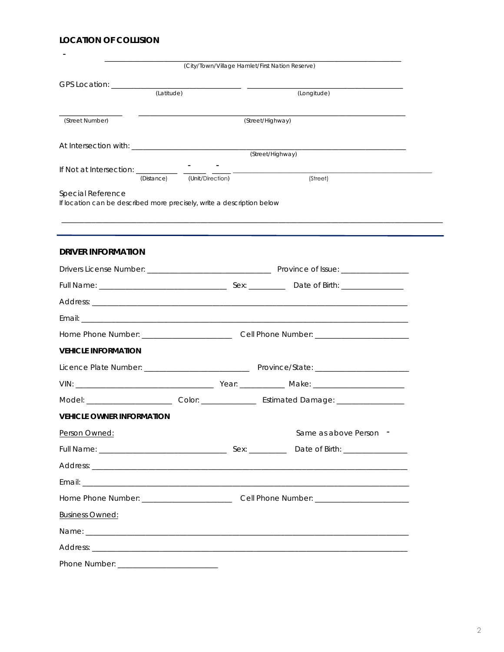# **LOCATION OF COLLISION**

|                                                                          |                                                                                                     | (City/Town/Village Hamlet/First Nation Reserve)                                                     |
|--------------------------------------------------------------------------|-----------------------------------------------------------------------------------------------------|-----------------------------------------------------------------------------------------------------|
|                                                                          |                                                                                                     |                                                                                                     |
| (Latitude)                                                               |                                                                                                     | (Longitude)                                                                                         |
|                                                                          |                                                                                                     |                                                                                                     |
| (Street Number)                                                          |                                                                                                     | (Street/Highway)                                                                                    |
|                                                                          |                                                                                                     |                                                                                                     |
|                                                                          |                                                                                                     | (Street/Highway)                                                                                    |
| If Not at Intersection: _________________<br>(Distance) (Unit/Direction) |                                                                                                     | (Street)                                                                                            |
| Special Reference                                                        |                                                                                                     |                                                                                                     |
| If location can be described more precisely, write a description below   |                                                                                                     |                                                                                                     |
|                                                                          |                                                                                                     |                                                                                                     |
|                                                                          |                                                                                                     |                                                                                                     |
| <b>DRIVER INFORMATION</b>                                                |                                                                                                     |                                                                                                     |
|                                                                          |                                                                                                     |                                                                                                     |
|                                                                          |                                                                                                     |                                                                                                     |
|                                                                          |                                                                                                     |                                                                                                     |
|                                                                          |                                                                                                     |                                                                                                     |
|                                                                          |                                                                                                     | Home Phone Number: __________________________________Cell Phone Number: ___________________________ |
| <b>VEHICLE INFORMATION</b>                                               |                                                                                                     |                                                                                                     |
|                                                                          |                                                                                                     |                                                                                                     |
|                                                                          |                                                                                                     |                                                                                                     |
|                                                                          |                                                                                                     |                                                                                                     |
| <b>VEHICLE OWNER INFORMATION</b>                                         |                                                                                                     |                                                                                                     |
| Person Owned:                                                            |                                                                                                     | Same as above Person -                                                                              |
|                                                                          |                                                                                                     |                                                                                                     |
|                                                                          |                                                                                                     |                                                                                                     |
|                                                                          |                                                                                                     |                                                                                                     |
|                                                                          | Home Phone Number: _______________________________Cell Phone Number: ______________________________ |                                                                                                     |
| <b>Business Owned:</b>                                                   |                                                                                                     |                                                                                                     |
|                                                                          |                                                                                                     |                                                                                                     |
|                                                                          |                                                                                                     |                                                                                                     |
|                                                                          |                                                                                                     |                                                                                                     |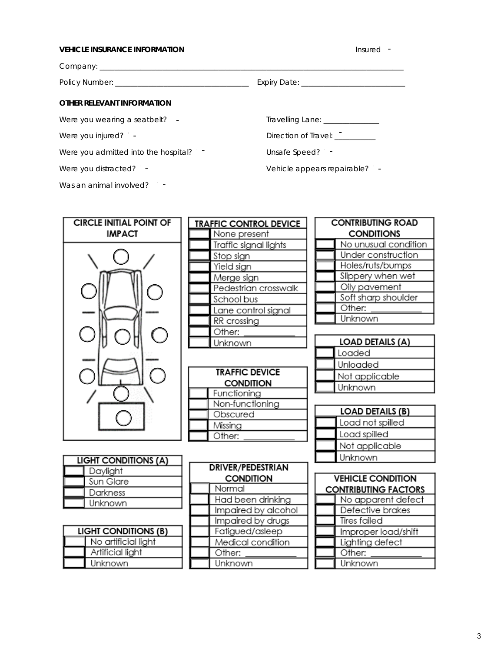#### **VEHICLE INSURANCE INFORMATION Insured T**

Company: \_\_\_\_\_\_\_\_\_\_\_\_\_\_\_\_\_\_\_\_\_\_\_\_\_\_\_\_\_\_\_\_\_\_\_\_\_\_\_\_\_\_\_\_\_\_\_\_\_\_\_\_\_\_\_\_\_\_\_\_\_\_\_\_\_\_\_\_\_\_\_\_\_\_\_\_\_\_\_\_\_\_

Policy Number: \_\_\_\_\_\_\_\_\_\_\_\_\_\_\_\_\_\_\_\_\_\_\_\_\_\_\_\_\_\_\_\_\_\_\_\_ Expiry Date: \_\_\_\_\_\_\_\_\_\_\_\_\_\_\_\_\_\_\_\_\_\_\_\_\_\_\_\_

#### **OTHER RELEVANT INFORMATION**

Were you wearing a seatbelt?  $\overline{\phantom{a}}$ 

Were you injured? -

Were you admitted into the hospital?  $\Box$ 

Were you distracted?  $\cdot$ 

Was an animal involved?  $\blacksquare$ 

Travelling Lane: \_\_\_\_\_\_\_\_\_\_\_\_\_\_\_

Direction of Travel:

Unsafe Speed? -

Vehicle appears repairable? -- - - - - - - - - - - - -

| <b>CIRCLE INITIAL POINT OF</b> | <b>CONTRIBUTING ROAD</b><br><b>TRAFFIC CONTROL DEVICE</b> |                             |  |
|--------------------------------|-----------------------------------------------------------|-----------------------------|--|
| <b>IMPACT</b>                  | None present                                              | <b>CONDITIONS</b>           |  |
|                                | Traffic signal lights                                     | No unusual condition        |  |
|                                | Stop sign                                                 | Under construction          |  |
|                                | Yield sign                                                | Holes/ruts/bumps            |  |
|                                | Merge sign                                                | Slippery when wet           |  |
|                                | Pedestrian crosswalk                                      | Oily pavement               |  |
|                                | School bus                                                | Soft sharp shoulder         |  |
|                                | Lane control signal                                       | Other:                      |  |
|                                | RR crossing                                               | Unknown                     |  |
|                                | Other:                                                    |                             |  |
|                                | Unknown                                                   | <b>LOAD DETAILS (A)</b>     |  |
|                                |                                                           | Loaded                      |  |
|                                |                                                           | Unloaded                    |  |
|                                | <b>TRAFFIC DEVICE</b>                                     | Not applicable              |  |
|                                | <b>CONDITION</b>                                          | Unknown                     |  |
|                                | Functioning<br>Non-functioning                            |                             |  |
|                                | Obscured                                                  | <b>LOAD DETAILS (B)</b>     |  |
|                                | Missing                                                   | Load not spilled            |  |
|                                | Other:                                                    | Load spilled                |  |
|                                |                                                           | Not applicable              |  |
| <b>LIGHT CONDITIONS (A)</b>    |                                                           | Unknown                     |  |
| Daylight                       | <b>DRIVER/PEDESTRIAN</b>                                  |                             |  |
| Sun Glare                      | <b>CONDITION</b>                                          | <b>VEHICLE CONDITION</b>    |  |
| Darkness                       | Normal                                                    | <b>CONTRIBUTING FACTORS</b> |  |
| Unknown                        | Had been drinking                                         | No apparent defect          |  |
|                                | Impaired by alcohol                                       | Defective brakes            |  |
|                                | Impaired by drugs                                         | <b>Tires failed</b>         |  |
| <b>LIGHT CONDITIONS (B)</b>    | Fatigued/asleep                                           | Improper load/shift         |  |
| No artificial light            | Medical condition                                         | Lighting defect             |  |
| Artificial light               | Other:                                                    | Other:                      |  |
| Unknown                        | Unknown                                                   | Unknown                     |  |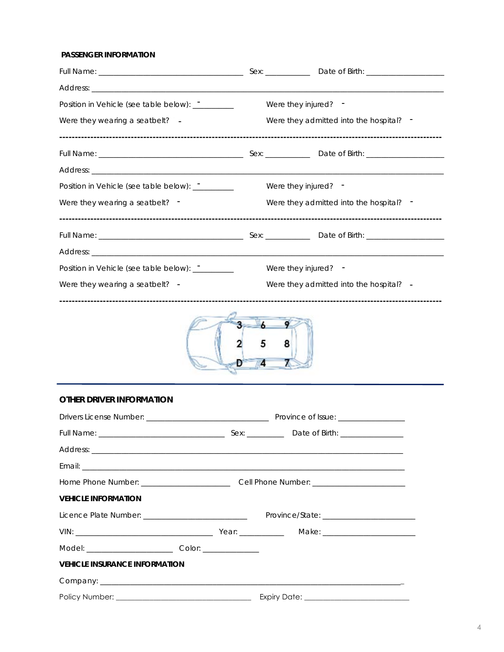### PASSENGER INFORMATION

| Were they injured? -   |                                         |
|------------------------|-----------------------------------------|
|                        | Were they admitted into the hospital? - |
|                        |                                         |
|                        |                                         |
| Were they injured? -   |                                         |
|                        | Were they admitted into the hospital? - |
|                        |                                         |
|                        |                                         |
| Were they injured? $-$ |                                         |
|                        | Were they admitted into the hospital? - |
|                        |                                         |



# **OTHER DRIVER INFORMATION**

| <b>VEHICLE INFORMATION</b>           |  |  |  |
|--------------------------------------|--|--|--|
|                                      |  |  |  |
|                                      |  |  |  |
|                                      |  |  |  |
| <b>VEHICLE INSURANCE INFORMATION</b> |  |  |  |
|                                      |  |  |  |
|                                      |  |  |  |